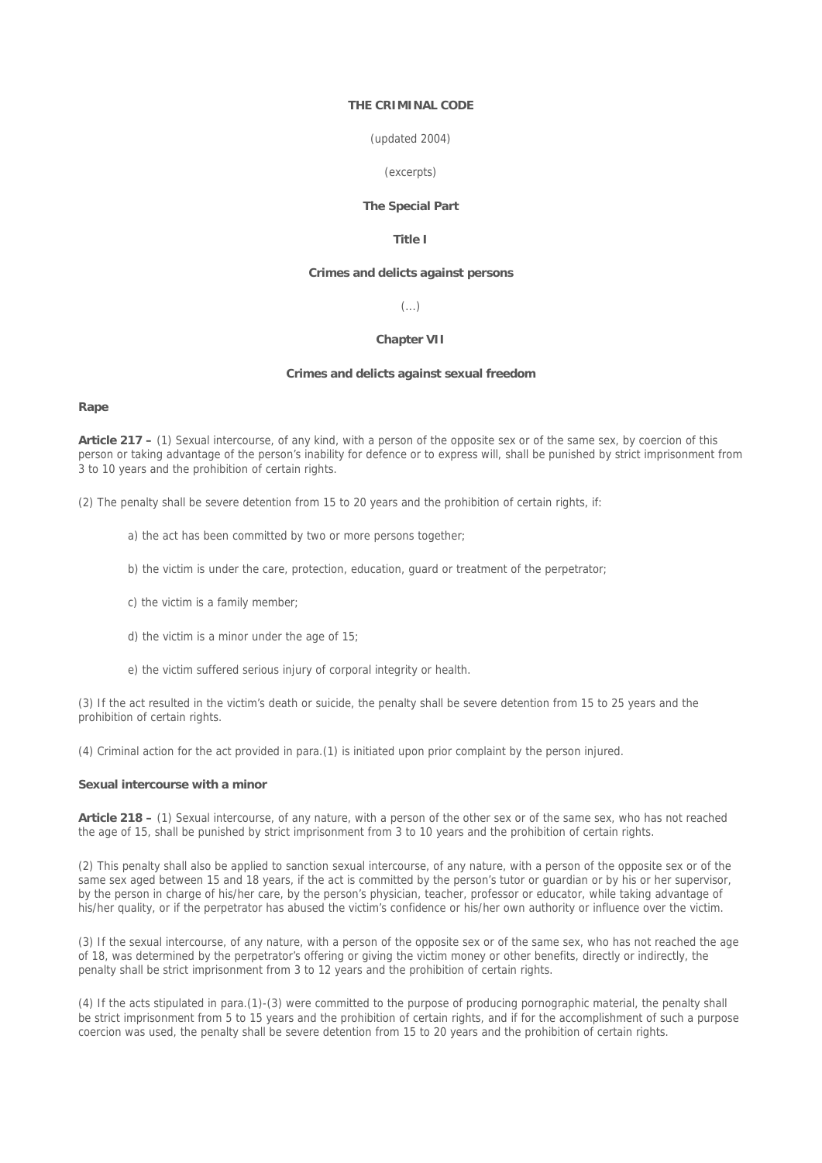## **THE CRIMINAL CODE**

#### (updated 2004)

# (excerpts)

### **The Special Part**

# **Title I**

#### **Crimes and delicts against persons**

# (...)

## **Chapter VII**

# **Crimes and delicts against sexual freedom**

#### **Rape**

**Article 217 –** (1) Sexual intercourse, of any kind, with a person of the opposite sex or of the same sex, by coercion of this person or taking advantage of the person's inability for defence or to express will, shall be punished by strict imprisonment from 3 to 10 years and the prohibition of certain rights.

(2) The penalty shall be severe detention from 15 to 20 years and the prohibition of certain rights, if:

- a) the act has been committed by two or more persons together;
- b) the victim is under the care, protection, education, guard or treatment of the perpetrator;
- c) the victim is a family member;
- d) the victim is a minor under the age of 15;
- e) the victim suffered serious injury of corporal integrity or health.

(3) If the act resulted in the victim's death or suicide, the penalty shall be severe detention from 15 to 25 years and the prohibition of certain rights.

(4) Criminal action for the act provided in para.(1) is initiated upon prior complaint by the person injured.

#### **Sexual intercourse with a minor**

**Article 218 –** (1) Sexual intercourse, of any nature, with a person of the other sex or of the same sex, who has not reached the age of 15, shall be punished by strict imprisonment from 3 to 10 years and the prohibition of certain rights.

(2) This penalty shall also be applied to sanction sexual intercourse, of any nature, with a person of the opposite sex or of the same sex aged between 15 and 18 years, if the act is committed by the person's tutor or guardian or by his or her supervisor, by the person in charge of his/her care, by the person's physician, teacher, professor or educator, while taking advantage of his/her quality, or if the perpetrator has abused the victim's confidence or his/her own authority or influence over the victim.

(3) If the sexual intercourse, of any nature, with a person of the opposite sex or of the same sex, who has not reached the age of 18, was determined by the perpetrator's offering or giving the victim money or other benefits, directly or indirectly, the penalty shall be strict imprisonment from 3 to 12 years and the prohibition of certain rights.

(4) If the acts stipulated in para.(1)-(3) were committed to the purpose of producing pornographic material, the penalty shall be strict imprisonment from 5 to 15 years and the prohibition of certain rights, and if for the accomplishment of such a purpose coercion was used, the penalty shall be severe detention from 15 to 20 years and the prohibition of certain rights.